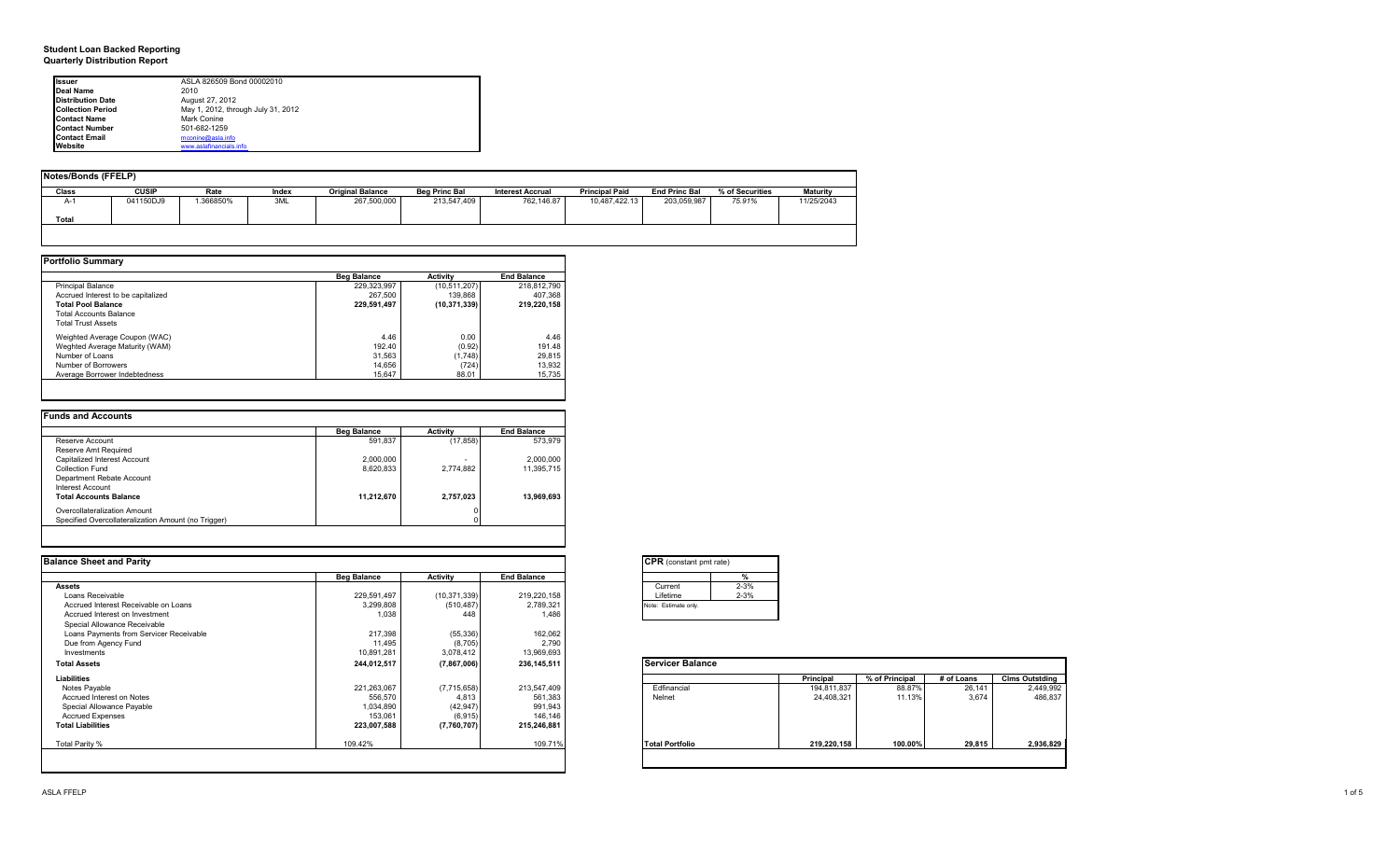#### **Student Loan Backed Reporting Quarterly Distribution Report**

| Issuer                   | ASLA 826509 Bond 00002010          |  |
|--------------------------|------------------------------------|--|
| Deal Name                | 2010                               |  |
| <b>Distribution Date</b> | August 27, 2012                    |  |
| <b>Collection Period</b> | May 1, 2012, through July 31, 2012 |  |
| <b>Contact Name</b>      | Mark Conine                        |  |
| <b>Contact Number</b>    | 501-682-1259                       |  |
| <b>Contact Email</b>     | mconine@asla.info                  |  |
| Website                  | www.aslafinancials.info            |  |

| Notes/Bonds (FFELP) |              |          |       |                         |                      |                         |                       |                      |                 |                 |
|---------------------|--------------|----------|-------|-------------------------|----------------------|-------------------------|-----------------------|----------------------|-----------------|-----------------|
| Class               | <b>CUSIP</b> | Rate     | Index | <b>Original Balance</b> | <b>Bea Princ Bal</b> | <b>Interest Accrual</b> | <b>Principal Paid</b> | <b>End Princ Bal</b> | % of Securities | <b>Maturity</b> |
| A-1<br>Total        | 041150DJ9    | .366850% | 3ML   | 267,500,000             | 213.547.409          | 762.146.87              | 10.487.422.13         | 203.059.987          | 75.91%          | 11/25/2043      |
|                     |              |          |       |                         |                      |                         |                       |                      |                 |                 |

|                                    | <b>Beg Balance</b> | <b>Activity</b> | <b>End Balance</b> |  |
|------------------------------------|--------------------|-----------------|--------------------|--|
| <b>Principal Balance</b>           | 229.323.997        | (10, 511, 207)  | 218,812,790        |  |
| Accrued Interest to be capitalized | 267.500            | 139.868         | 407.368            |  |
| <b>Total Pool Balance</b>          | 229,591,497        | (10, 371, 339)  | 219.220.158        |  |
| <b>Total Accounts Balance</b>      |                    |                 |                    |  |
| <b>Total Trust Assets</b>          |                    |                 |                    |  |
| Weighted Average Coupon (WAC)      | 4.46               | 0.00            | 4.46               |  |
| Weghted Average Maturity (WAM)     | 192.40             | (0.92)          | 191.48             |  |
| Number of Loans                    | 31,563             | (1,748)         | 29,815             |  |
| Number of Borrowers                | 14.656             | (724)           | 13,932             |  |
| Average Borrower Indebtedness      | 15.647             | 88.01           | 15,735             |  |

|                                                     | <b>Beg Balance</b> | <b>Activity</b> | <b>End Balance</b> |
|-----------------------------------------------------|--------------------|-----------------|--------------------|
| Reserve Account                                     | 591.837            | (17, 858)       | 573.979            |
| Reserve Amt Required                                |                    |                 |                    |
| Capitalized Interest Account                        | 2,000,000          | -               | 2,000,000          |
| Collection Fund                                     | 8,620,833          | 2,774,882       | 11,395,715         |
| Department Rebate Account                           |                    |                 |                    |
| Interest Account                                    |                    |                 |                    |
| <b>Total Accounts Balance</b>                       | 11,212,670         | 2,757,023       | 13,969,693         |
| Overcollateralization Amount                        |                    |                 |                    |
| Specified Overcollateralization Amount (no Trigger) |                    |                 |                    |

| <b>Balance Sheet and Parity</b>         |                    |                |                    | <b>CPR</b> (constant pmt rate) |             |                |            |                       |
|-----------------------------------------|--------------------|----------------|--------------------|--------------------------------|-------------|----------------|------------|-----------------------|
|                                         | <b>Beg Balance</b> | Activity       | <b>End Balance</b> |                                |             |                |            |                       |
| <b>Assets</b>                           |                    |                |                    | Current                        | $2 - 3%$    |                |            |                       |
| Loans Receivable                        | 229,591,497        | (10, 371, 339) | 219,220,158        | Lifetime                       | $2 - 3%$    |                |            |                       |
| Accrued Interest Receivable on Loans    | 3,299,808          | (510, 487)     | 2,789,321          | Note: Estimate only.           |             |                |            |                       |
| Accrued Interest on Investment          | 1,038              | 448            | 1,486              |                                |             |                |            |                       |
| Special Allowance Receivable            |                    |                |                    |                                |             |                |            |                       |
| Loans Payments from Servicer Receivable | 217,398            | (55, 336)      | 162,062            |                                |             |                |            |                       |
| Due from Agency Fund                    | 11,495             | (8, 705)       | 2,790              |                                |             |                |            |                       |
| Investments                             | 10,891,281         | 3,078,412      | 13,969,693         |                                |             |                |            |                       |
| <b>Total Assets</b>                     | 244,012,517        | (7,867,006)    | 236, 145, 511      | <b>Servicer Balance</b>        |             |                |            |                       |
| Liabilities                             |                    |                |                    |                                | Principal   | % of Principal | # of Loans | <b>Clms Outstding</b> |
| Notes Payable                           | 221,263,067        | (7,715,658)    | 213,547,409        | Edfinancial                    | 194,811,837 | 88.87%         | 26,141     | 2,449,992             |
| Accrued Interest on Notes               | 556,570            | 4,813          | 561,383            | Nelnet                         | 24,408,321  | 11.13%         | 3.674      | 486,837               |
| Special Allowance Payable               | 1,034,890          | (42, 947)      | 991,943            |                                |             |                |            |                       |
| <b>Accrued Expenses</b>                 | 153,061            | (6, 915)       | 146,146            |                                |             |                |            |                       |
| <b>Total Liabilities</b>                | 223,007,588        | (7,760,707)    | 215,246,881        |                                |             |                |            |                       |
| Total Parity %                          | 109.42%            |                | 109.71%            | <b>Total Portfolio</b>         | 219,220,158 | 100.00%        | 29,815     | 2,936,829             |
|                                         |                    |                |                    |                                |             |                |            |                       |

| Current  | $2 - 3%$ |
|----------|----------|
| Lifetime | $2 - 3%$ |

|                        | Principal   | % of Principal | # of Loans | <b>Clms Outstding</b> |
|------------------------|-------------|----------------|------------|-----------------------|
| Edfinancial            | 194,811,837 | 88.87%         | 26,141     | 2,449,992             |
| Nelnet                 | 24,408,321  | 11.13%         | 3,674      | 486,837               |
| <b>Total Portfolio</b> | 219,220,158 | 100.00%        | 29,815     | 2,936,829             |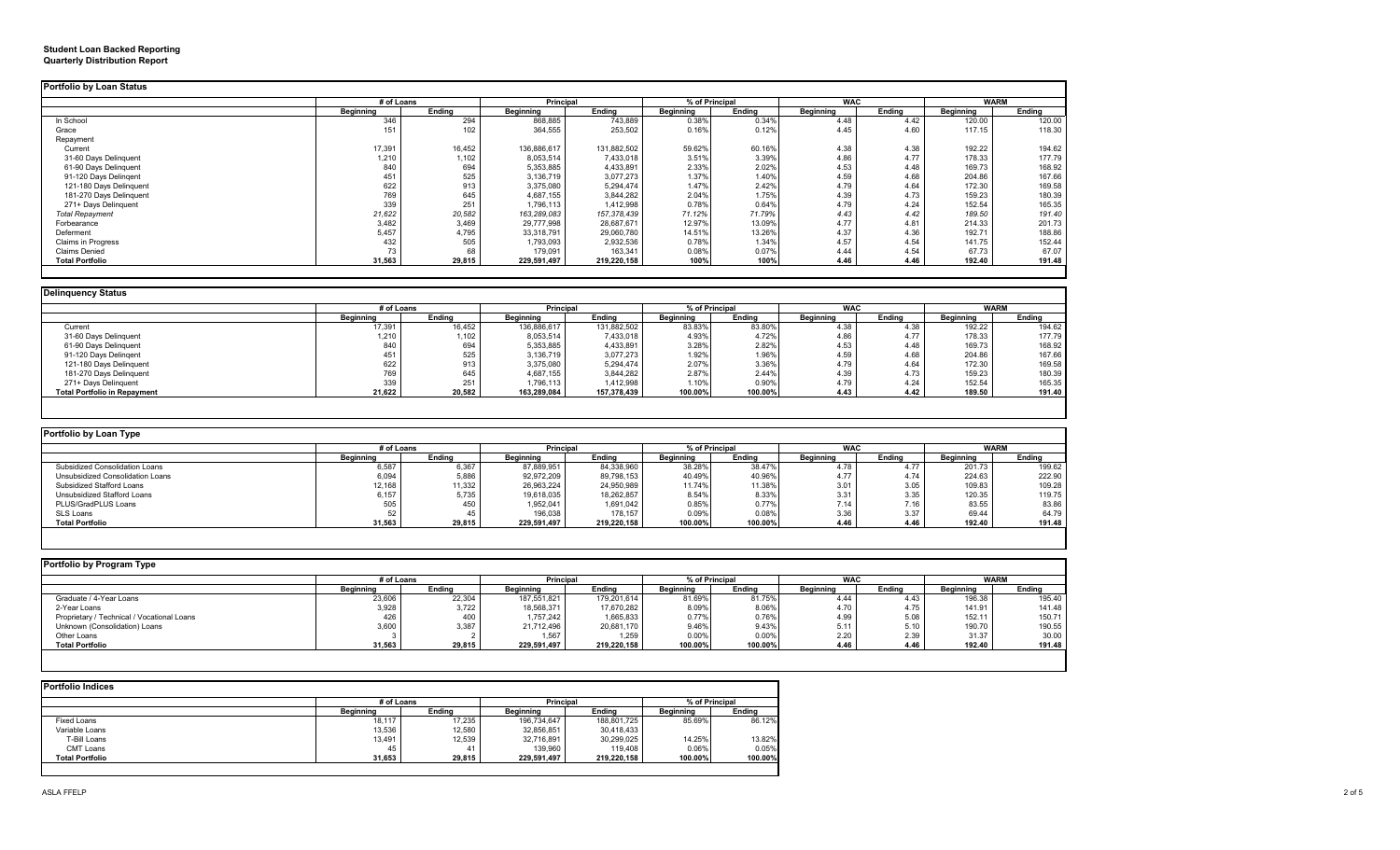#### **Student Loan Backed Reporting Quarterly Distribution Report**

|                         | # of Loans |        | Principal   |               | % of Principal |        | <b>WAC</b>       |        | <b>WARM</b>      |        |
|-------------------------|------------|--------|-------------|---------------|----------------|--------|------------------|--------|------------------|--------|
|                         | Beginning  | Endina | Beginning   | Endina        | Beainnina      | Endina | <b>Beginning</b> | Endina | <b>Beginning</b> | Endina |
| In School               | 346        | 294    | 868,885     | 743,889       | 0.38%          | 0.34%  | 4.48             | 4.42   | 120.00           | 120.00 |
| Grace                   | 151        | 102    | 364,555     | 253,502       | 0.16%          | 0.12%  | 4.45             | 4.60   | 117.15           | 118.30 |
| Repayment               |            |        |             |               |                |        |                  |        |                  |        |
| Current                 | 17,391     | 16,452 | 136,886,617 | 131,882,502   | 59.62%         | 60.16% | 4.38             | 4.38   | 192.22           | 194.62 |
| 31-60 Days Delinquent   | 1,210      | 1,102  | 8,053,514   | 7,433,018     | 3.51%          | 3.39%  | 4.86             | 4.77   | 178.33           | 177.79 |
| 61-90 Days Delinquent   | 840        | 694    | 5,353,885   | 4,433,891     | 2.33%          | 2.02%  | 4.53             | 4.48   | 169.73           | 168.92 |
| 91-120 Days Delingent   | 451        | 525    | 3,136,719   | 3,077,273     | 1.37%          | 1.40%  | 4.59             | 4.68   | 204.86           | 167.66 |
| 121-180 Days Delinquent | 622        | 913    | 3,375,080   | 5,294,474     | 1.47%          | 2.42%  | 4.79             | 4.64   | 172.30           | 169.58 |
| 181-270 Days Delinquent | 769        | 645    | 4,687,155   | 3,844,282     | 2.04%          | 1.75%  | 4.39             | 4.73   | 159.23           | 180.39 |
| 271+ Days Delinguent    | 339        | 251    | 1,796,113   | 1,412,998     | 0.78%          | 0.64%  | 4.79             | 4.24   | 152.54           | 165.35 |
| <b>Total Repayment</b>  | 21,622     | 20,582 | 163,289,083 | 157, 378, 439 | 71.12%         | 71.79% | 4.43             | 4.42   | 189.50           | 191.40 |
| Forbearance             | 3,482      | 3,469  | 29,777,998  | 28,687,671    | 12.97%         | 13.09% | 4.77             | 4.81   | 214.33           | 201.73 |
| Deferment               | 5,457      | 4,795  | 33,318,791  | 29,060,780    | 14.51%         | 13.26% | 4.37             | 4.36   | 192.71           | 188.86 |
| Claims in Progress      | 432        | 505    | 1,793,093   | 2,932,536     | 0.78%          | 1.34%  | 4.57             | 4.54   | 141.75           | 152.44 |
| <b>Claims Denied</b>    | 73         | 68     | 179,091     | 163,341       | 0.08%          | 0.07%  | 4.44             | 4.54   | 67.73            | 67.07  |
| <b>Total Portfolio</b>  | 31,563     | 29,815 | 229,591,497 | 219,220,158   | 100%           | 100%   | 4.46             | 4.46   | 192.40           | 191.48 |

|                                     |                  | # of Loans |             | <b>Principal</b> |           | % of Principal | <b>WAC</b> |        | <b>WARM</b> |        |
|-------------------------------------|------------------|------------|-------------|------------------|-----------|----------------|------------|--------|-------------|--------|
|                                     | <b>Beginning</b> | Endina     | Beginning   | Endina           | Beainnina | Ending         | Beainnina  | Endina | Beainnina   | Endina |
| Current                             | 17,391           | 16,452     | 136,886,617 | 131,882,502      | 83.83%    | 83.80%         | 4.38       | 4.38   | 192.22      | 194.62 |
| 31-60 Days Delinquent               | 1.210            | 1,102      | 8,053,514   | 7,433,018        | 4.93%     | 4.72%          | 4.86       | 4.77   | 178.33      | 177.79 |
| 61-90 Days Delinquent               | 840              | 694        | 5,353,885   | 4,433,891        | 3.28%     | 2.82%          | 4.53       | 4.48   | 169.73      | 168.92 |
| 91-120 Days Delingent               |                  | 525        | 3,136,719   | 3,077,273        | 1.92%     | 1.96%          | 4.59       | 4.68   | 204.86      | 167.66 |
| 121-180 Days Delinguent             | 622              | 913        | 3,375,080   | 5,294,474        | 2.07%     | 3.36%          | 4.79       | 4.64   | 172.30      | 169.58 |
| 181-270 Days Delinguent             | 769              | 645        | 4,687,155   | 3,844,282        | 2.87%     | 2.44%          | 4.39       | 4.73   | 159.23      | 180.39 |
| 271+ Days Delinquent                | 339              | 251        | 1,796,113   | 1,412,998        | 1.10%     | 0.90%          | 4.79       | 4.24   | 152.54      | 165.35 |
| <b>Total Portfolio in Repayment</b> | 21,622           | 20,582     | 163,289,084 | 157,378,439      | 100.00%   | 100.00%        | 4.43       | 4.42   | 189.50      | 191.40 |

| Portfolio by Loan Type           |            |        |                  |             |                  |                |                  |            |           |             |
|----------------------------------|------------|--------|------------------|-------------|------------------|----------------|------------------|------------|-----------|-------------|
|                                  | # of Loans |        | <b>Principal</b> |             |                  | % of Principal |                  | <b>WAC</b> |           | <b>WARM</b> |
|                                  | Beginning  | Endina | <b>Beainning</b> | Endina      | <b>Beainning</b> | Endina         | <b>Beginning</b> | Endina     | Beainnina | Endina      |
| Subsidized Consolidation Loans   | 6,587      | 6,367  | 87,889,951       | 84,338,960  | 38.28%           | 38.47%         | 4.78             | 4.77       | 201.73    | 199.62      |
| Unsubsidized Consolidation Loans | 6,094      | 5,886  | 92,972,209       | 89,798,153  | 40.49%           | 40.96%         | 4.77             | 4.74       | 224.63    | 222.90      |
| Subsidized Stafford Loans        | 12,168     | 11,332 | 26,963,224       | 24,950,989  | 11.74%           | 11.38%         | 3.01             | 3.05       | 109.83    | 109.28      |
| Unsubsidized Stafford Loans      | 6.157      | 5.735  | 19,618,035       | 18.262.857  | 8.54%            | 8.33%          | 3.31             | 3.35       | 120.35    | 119.75      |
| PLUS/GradPLUS Loans              | 505        | 450    | 1,952,041        | 1,691,042   | 0.85%            | 0.77%          | 7.14             | 7.16       | 83.55     | 83.86       |
| SLS Loans                        |            |        | 196,038          | 178.157     | 0.09%            | 0.08%          | 3.36             | 3.37       | 69.44     | 64.79       |
| <b>Total Portfolio</b>           | 31,563     | 29,815 | 229,591,497      | 219,220,158 | 100.00%          | 100.00%        | 4.46             | 4.46       | 192.40    | 191.48      |

| Portfolio by Program Type                  |                  |        |                  |             |           |                |                  |            |                  |             |  |
|--------------------------------------------|------------------|--------|------------------|-------------|-----------|----------------|------------------|------------|------------------|-------------|--|
|                                            | # of Loans       |        | Principal        |             |           | % of Principal |                  | <b>WAC</b> |                  | <b>WARM</b> |  |
|                                            | <b>Beginning</b> | Endina | <b>Beainning</b> | Endina      | Beainnina | Endina         | <b>Beainning</b> | Endina     | <b>Beainning</b> | Endina      |  |
| Graduate / 4-Year Loans                    | 23,606           | 22.304 | 187.551.821      | 179.201.614 | 81.69%    | 81.75%         | 4.44             | 4.43       | 196.38           | 195.40      |  |
| 2-Year Loans                               | 3,928            | 3.722  | 18,568,371       | 17,670,282  | 8.09%     | 8.06%          | 4.70             | 4.75       | 141.91           | 141.48      |  |
| Proprietary / Technical / Vocational Loans | 426              | 400    | 1,757,242        | 1,665,833   | 0.77%     | 0.76%          | 4.99             | 5.08       | 152.11           | 150.71      |  |
| Unknown (Consolidation) Loans              | 3.600            | 3.387  | 21.712.496       | 20.681.170  | 9.46%     | 9.43%          | 5.11             | 5.10       | 190.70           | 190.55      |  |
| Other Loans                                |                  |        | 1.567            | 1.259       | 0.00%     | 0.00%          | 2.20             | 2.39       | 31.37            | 30.00       |  |
| <b>Total Portfolio</b>                     | 31,563           | 29,815 | 229.591.497      | 219.220.158 | 100.00%   | 100.00%        | 4.46             | 4.46       | 192.40           | 191.48      |  |

| <b>Portfolio Indices</b> |            |        |             |             |                |         |  |  |  |  |
|--------------------------|------------|--------|-------------|-------------|----------------|---------|--|--|--|--|
|                          | # of Loans |        | Principal   |             | % of Principal |         |  |  |  |  |
|                          | Beginning  | Endina | Beginning   | Endina      | Beginning      | Ending  |  |  |  |  |
| <b>Fixed Loans</b>       | 18,117     | 17.235 | 196,734,647 | 188,801,725 | 85.69%         | 86.12%  |  |  |  |  |
| Variable Loans           | 13.536     | 12.580 | 32,856,851  | 30,418,433  |                |         |  |  |  |  |
| T-Bill Loans             | 13,491     | 12,539 | 32,716,891  | 30,299,025  | 14.25%         | 13.82%  |  |  |  |  |
| CMT Loans                | 45         | 41     | 139,960     | 119,408     | 0.06%          | 0.05%   |  |  |  |  |
| <b>Total Portfolio</b>   | 31,653     | 29.815 | 229,591,497 | 219.220.158 | 100.00%        | 100.00% |  |  |  |  |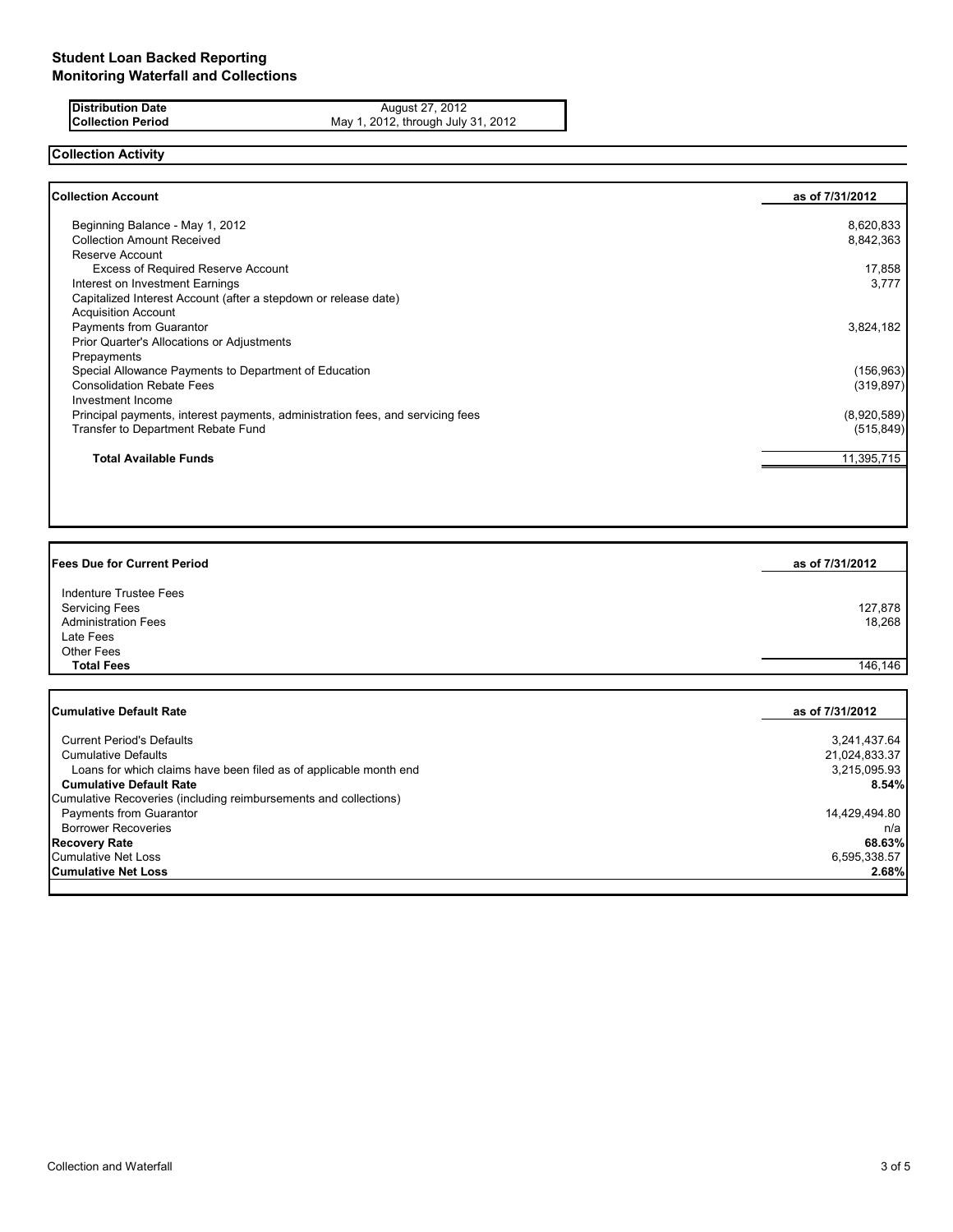**Distribution Date August 27, 2012 Collection Period** May 1, 2012, through July 31, 2012

## **Collection Activity**

| Collection Account                                                             | as of 7/31/2012 |
|--------------------------------------------------------------------------------|-----------------|
| Beginning Balance - May 1, 2012                                                | 8,620,833       |
| <b>Collection Amount Received</b>                                              | 8,842,363       |
| Reserve Account                                                                |                 |
| <b>Excess of Required Reserve Account</b>                                      | 17,858          |
| Interest on Investment Earnings                                                | 3,777           |
| Capitalized Interest Account (after a stepdown or release date)                |                 |
| <b>Acquisition Account</b>                                                     |                 |
| Payments from Guarantor                                                        | 3,824,182       |
| Prior Quarter's Allocations or Adjustments                                     |                 |
| Prepayments                                                                    |                 |
| Special Allowance Payments to Department of Education                          | (156, 963)      |
| <b>Consolidation Rebate Fees</b>                                               | (319, 897)      |
| Investment Income                                                              |                 |
| Principal payments, interest payments, administration fees, and servicing fees | (8,920,589)     |
| Transfer to Department Rebate Fund                                             | (515, 849)      |
| <b>Total Available Funds</b>                                                   | 11,395,715      |

| <b>Fees Due for Current Period</b>                                                         | as of 7/31/2012   |
|--------------------------------------------------------------------------------------------|-------------------|
| Indenture Trustee Fees<br><b>Servicing Fees</b><br><b>Administration Fees</b><br>Late Fees | 127,878<br>18,268 |
| Other Fees                                                                                 |                   |
| <b>Total Fees</b>                                                                          | 146.146           |

| <b>Cumulative Default Rate</b>                                    | as of 7/31/2012 |
|-------------------------------------------------------------------|-----------------|
|                                                                   |                 |
| <b>Current Period's Defaults</b>                                  | 3,241,437.64    |
| <b>Cumulative Defaults</b>                                        | 21,024,833.37   |
| Loans for which claims have been filed as of applicable month end | 3.215.095.93    |
| <b>Cumulative Default Rate</b>                                    | 8.54%           |
| Cumulative Recoveries (including reimbursements and collections)  |                 |
| Payments from Guarantor                                           | 14,429,494.80   |
| <b>Borrower Recoveries</b>                                        | n/a             |
| <b>Recovery Rate</b>                                              | 68.63%          |
| Cumulative Net Loss                                               | 6,595,338.57    |
| <b>Cumulative Net Loss</b>                                        | 2.68%           |
|                                                                   |                 |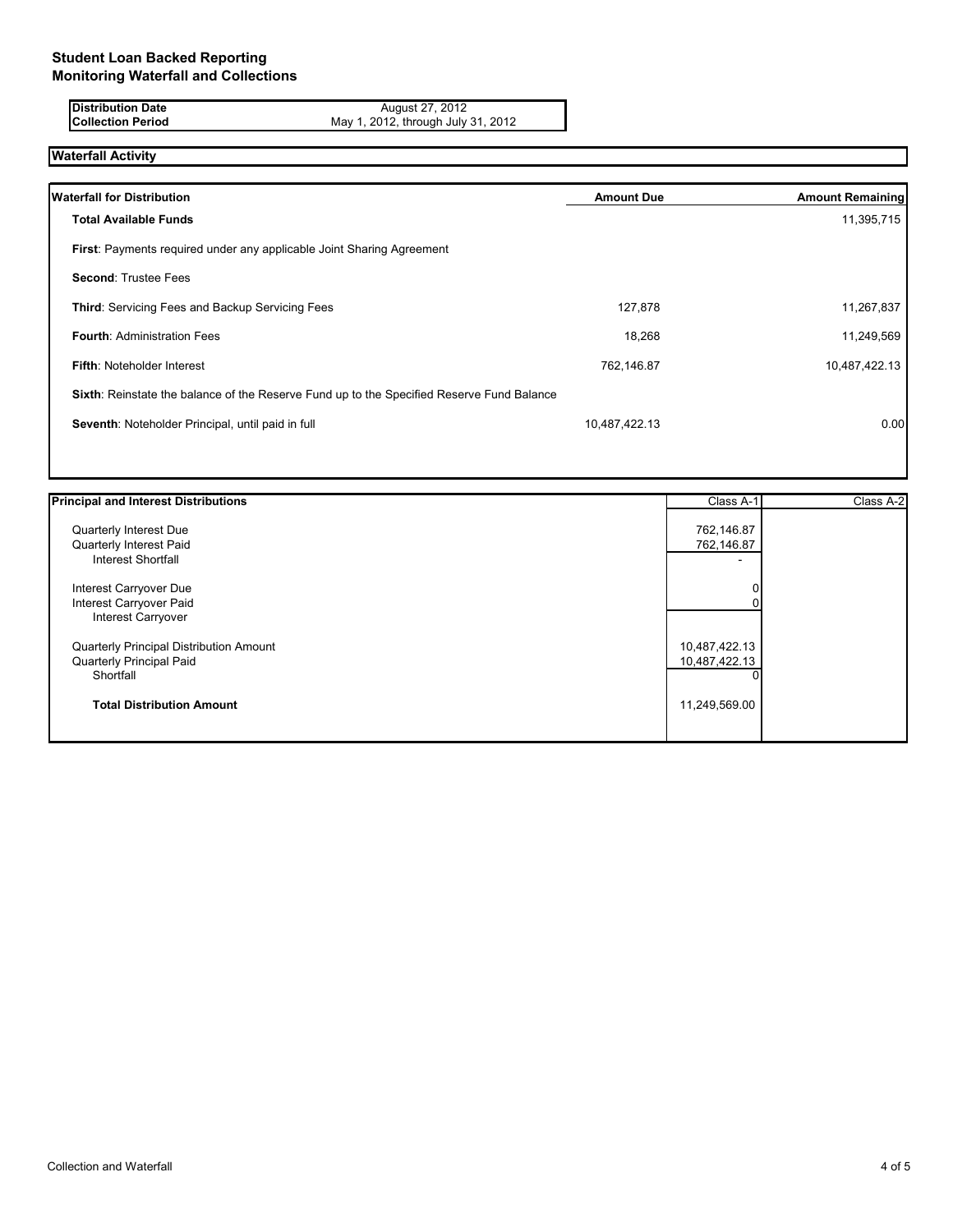**Distribution Date August 27, 2012 Collection Period** May 1, 2012, through July 31, 2012

# **Waterfall Activity**

| <b>Waterfall for Distribution</b>                                                         | <b>Amount Due</b> | <b>Amount Remaining</b> |
|-------------------------------------------------------------------------------------------|-------------------|-------------------------|
| <b>Total Available Funds</b>                                                              |                   | 11,395,715              |
| <b>First:</b> Payments required under any applicable Joint Sharing Agreement              |                   |                         |
| <b>Second: Trustee Fees</b>                                                               |                   |                         |
| Third: Servicing Fees and Backup Servicing Fees                                           | 127,878           | 11,267,837              |
| <b>Fourth: Administration Fees</b>                                                        | 18,268            | 11,249,569              |
| <b>Fifth: Noteholder Interest</b>                                                         | 762,146.87        | 10,487,422.13           |
| Sixth: Reinstate the balance of the Reserve Fund up to the Specified Reserve Fund Balance |                   |                         |
| Seventh: Noteholder Principal, until paid in full                                         | 10,487,422.13     | 0.00                    |
|                                                                                           |                   |                         |

| <b>Principal and Interest Distributions</b> | Class A-1     | Class A-2 |
|---------------------------------------------|---------------|-----------|
| Quarterly Interest Due                      | 762,146.87    |           |
| Quarterly Interest Paid                     | 762,146.87    |           |
| Interest Shortfall                          | -             |           |
| Interest Carryover Due                      |               |           |
| Interest Carryover Paid                     |               |           |
| <b>Interest Carryover</b>                   |               |           |
| Quarterly Principal Distribution Amount     | 10,487,422.13 |           |
| Quarterly Principal Paid                    | 10,487,422.13 |           |
| Shortfall                                   |               |           |
| <b>Total Distribution Amount</b>            | 11,249,569.00 |           |
|                                             |               |           |